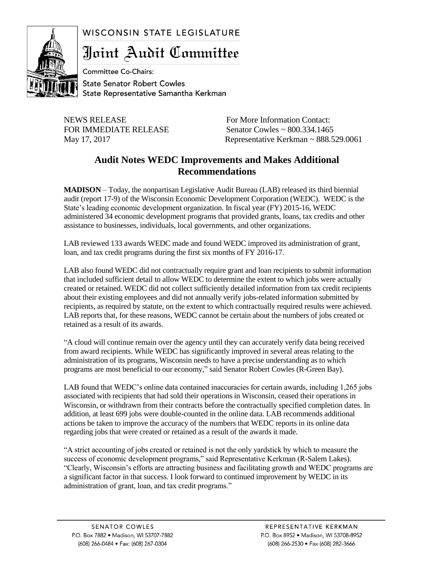## WISCONSIN STATE LEGISLATURE



Joint Audit Committee

**Committee Co-Chairs: State Senator Robert Cowles** State Representative Samantha Kerkman

NEWS RELEASE For More Information Contact:

FOR IMMEDIATE RELEASE Senator Cowles ~ 800.334.1465 May 17, 2017 Representative Kerkman ~ 888.529.0061

## **Audit Notes WEDC Improvements and Makes Additional Recommendations**

**MADISON** – Today, the nonpartisan Legislative Audit Bureau (LAB) released its third biennial audit (report 17-9) of the Wisconsin Economic Development Corporation (WEDC). WEDC is the State's leading economic development organization. In fiscal year (FY) 2015-16, WEDC administered 34 economic development programs that provided grants, loans, tax credits and other assistance to businesses, individuals, local governments, and other organizations.

LAB reviewed 133 awards WEDC made and found WEDC improved its administration of grant, loan, and tax credit programs during the first six months of FY 2016-17.

LAB also found WEDC did not contractually require grant and loan recipients to submit information that included sufficient detail to allow WEDC to determine the extent to which jobs were actually created or retained. WEDC did not collect sufficiently detailed information from tax credit recipients about their existing employees and did not annually verify jobs-related information submitted by recipients, as required by statute, on the extent to which contractually required results were achieved. LAB reports that, for these reasons, WEDC cannot be certain about the numbers of jobs created or retained as a result of its awards.

"A cloud will continue remain over the agency until they can accurately verify data being received from award recipients. While WEDC has significantly improved in several areas relating to the administration of its programs, Wisconsin needs to have a precise understanding as to which programs are most beneficial to our economy," said Senator Robert Cowles (R-Green Bay).

LAB found that WEDC's online data contained inaccuracies for certain awards, including 1,265 jobs associated with recipients that had sold their operations in Wisconsin, ceased their operations in Wisconsin, or withdrawn from their contracts before the contractually specified completion dates. In addition, at least 699 jobs were double-counted in the online data. LAB recommends additional actions be taken to improve the accuracy of the numbers that WEDC reports in its online data regarding jobs that were created or retained as a result of the awards it made.

"A strict accounting of jobs created or retained is not the only yardstick by which to measure the success of economic development programs," said Representative Kerkman (R-Salem Lakes). "Clearly, Wisconsin's efforts are attracting business and facilitating growth and WEDC programs are a significant factor in that success. I look forward to continued improvement by WEDC in its administration of grant, loan, and tax credit programs."